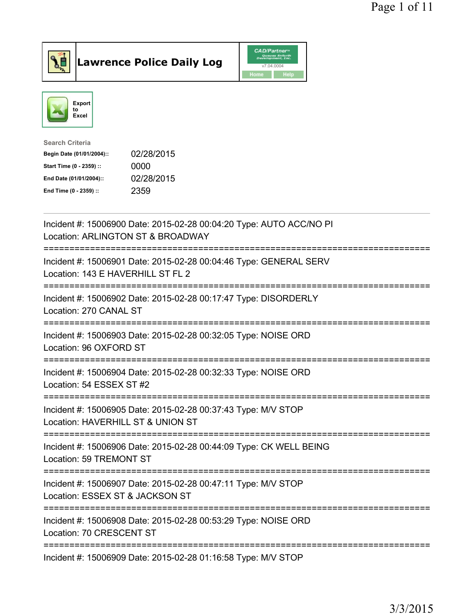

Lawrence Police Daily Log CAD/Partners



| <b>Search Criteria</b>    |            |
|---------------------------|------------|
| Begin Date (01/01/2004):: | 02/28/2015 |
| Start Time (0 - 2359) ::  | 0000       |
| End Date (01/01/2004)::   | 02/28/2015 |
| End Time (0 - 2359) ::    | 2359       |
|                           |            |

| Incident #: 15006900 Date: 2015-02-28 00:04:20 Type: AUTO ACC/NO PI<br>Location: ARLINGTON ST & BROADWAY                                     |
|----------------------------------------------------------------------------------------------------------------------------------------------|
| Incident #: 15006901 Date: 2015-02-28 00:04:46 Type: GENERAL SERV<br>Location: 143 E HAVERHILL ST FL 2                                       |
| Incident #: 15006902 Date: 2015-02-28 00:17:47 Type: DISORDERLY<br>Location: 270 CANAL ST                                                    |
| Incident #: 15006903 Date: 2015-02-28 00:32:05 Type: NOISE ORD<br>Location: 96 OXFORD ST<br>=================                                |
| Incident #: 15006904 Date: 2015-02-28 00:32:33 Type: NOISE ORD<br>Location: 54 ESSEX ST #2                                                   |
| Incident #: 15006905 Date: 2015-02-28 00:37:43 Type: M/V STOP                                                                                |
| Location: HAVERHILL ST & UNION ST                                                                                                            |
| ==========================<br>=============<br>Incident #: 15006906 Date: 2015-02-28 00:44:09 Type: CK WELL BEING<br>Location: 59 TREMONT ST |
| Incident #: 15006907 Date: 2015-02-28 00:47:11 Type: M/V STOP<br>Location: ESSEX ST & JACKSON ST                                             |
| Incident #: 15006908 Date: 2015-02-28 00:53:29 Type: NOISE ORD<br>Location: 70 CRESCENT ST                                                   |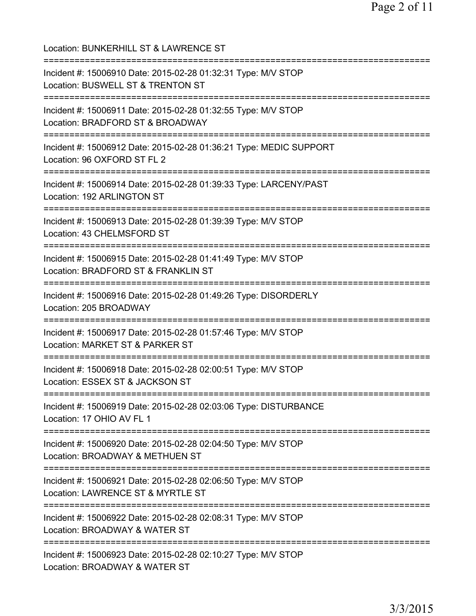Location: BUNKERHILL ST & LAWRENCE ST =========================================================================== Incident #: 15006910 Date: 2015-02-28 01:32:31 Type: M/V STOP Location: BUSWELL ST & TRENTON ST =========================================================================== Incident #: 15006911 Date: 2015-02-28 01:32:55 Type: M/V STOP Location: BRADFORD ST & BROADWAY =========================================================================== Incident #: 15006912 Date: 2015-02-28 01:36:21 Type: MEDIC SUPPORT Location: 96 OXFORD ST FL 2 =========================================================================== Incident #: 15006914 Date: 2015-02-28 01:39:33 Type: LARCENY/PAST Location: 192 ARLINGTON ST =========================================================================== Incident #: 15006913 Date: 2015-02-28 01:39:39 Type: M/V STOP Location: 43 CHELMSFORD ST =========================================================================== Incident #: 15006915 Date: 2015-02-28 01:41:49 Type: M/V STOP Location: BRADFORD ST & FRANKLIN ST =========================================================================== Incident #: 15006916 Date: 2015-02-28 01:49:26 Type: DISORDERLY Location: 205 BROADWAY =========================================================================== Incident #: 15006917 Date: 2015-02-28 01:57:46 Type: M/V STOP Location: MARKET ST & PARKER ST =========================================================================== Incident #: 15006918 Date: 2015-02-28 02:00:51 Type: M/V STOP Location: ESSEX ST & JACKSON ST =========================================================================== Incident #: 15006919 Date: 2015-02-28 02:03:06 Type: DISTURBANCE Location: 17 OHIO AV FL 1 =========================================================================== Incident #: 15006920 Date: 2015-02-28 02:04:50 Type: M/V STOP Location: BROADWAY & METHUEN ST =========================================================================== Incident #: 15006921 Date: 2015-02-28 02:06:50 Type: M/V STOP Location: LAWRENCE ST & MYRTLE ST =========================================================================== Incident #: 15006922 Date: 2015-02-28 02:08:31 Type: M/V STOP Location: BROADWAY & WATER ST =========================================================================== Incident #: 15006923 Date: 2015-02-28 02:10:27 Type: M/V STOP Location: BROADWAY & WATER ST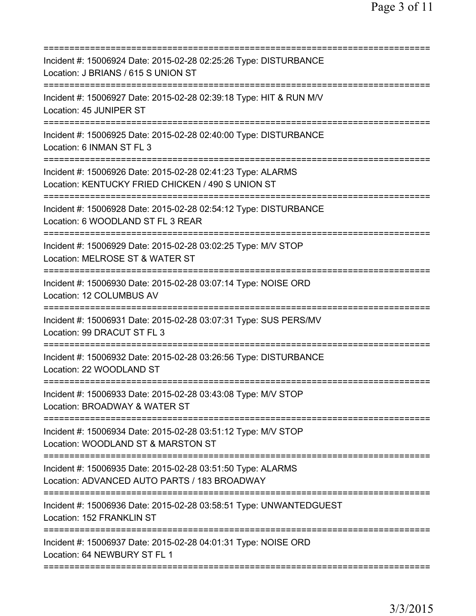| Incident #: 15006924 Date: 2015-02-28 02:25:26 Type: DISTURBANCE<br>Location: J BRIANS / 615 S UNION ST                                             |
|-----------------------------------------------------------------------------------------------------------------------------------------------------|
| Incident #: 15006927 Date: 2015-02-28 02:39:18 Type: HIT & RUN M/V<br>Location: 45 JUNIPER ST                                                       |
| Incident #: 15006925 Date: 2015-02-28 02:40:00 Type: DISTURBANCE<br>Location: 6 INMAN ST FL 3                                                       |
| Incident #: 15006926 Date: 2015-02-28 02:41:23 Type: ALARMS<br>Location: KENTUCKY FRIED CHICKEN / 490 S UNION ST<br>------------------------------- |
| Incident #: 15006928 Date: 2015-02-28 02:54:12 Type: DISTURBANCE<br>Location: 6 WOODLAND ST FL 3 REAR                                               |
| Incident #: 15006929 Date: 2015-02-28 03:02:25 Type: M/V STOP<br>Location: MELROSE ST & WATER ST                                                    |
| Incident #: 15006930 Date: 2015-02-28 03:07:14 Type: NOISE ORD<br>Location: 12 COLUMBUS AV                                                          |
| Incident #: 15006931 Date: 2015-02-28 03:07:31 Type: SUS PERS/MV<br>Location: 99 DRACUT ST FL 3                                                     |
| Incident #: 15006932 Date: 2015-02-28 03:26:56 Type: DISTURBANCE<br>Location: 22 WOODLAND ST                                                        |
| Incident #: 15006933 Date: 2015-02-28 03:43:08 Type: M/V STOP<br>Location: BROADWAY & WATER ST<br>===========================                       |
| Incident #: 15006934 Date: 2015-02-28 03:51:12 Type: M/V STOP<br>Location: WOODLAND ST & MARSTON ST                                                 |
| Incident #: 15006935 Date: 2015-02-28 03:51:50 Type: ALARMS<br>Location: ADVANCED AUTO PARTS / 183 BROADWAY                                         |
| Incident #: 15006936                                 Date: 2015-02-28 03:58:51 Type: UNWANTEDGUEST<br>Location: 152 FRANKLIN ST                     |
| Incident #: 15006937 Date: 2015-02-28 04:01:31 Type: NOISE ORD<br>Location: 64 NEWBURY ST FL 1                                                      |
|                                                                                                                                                     |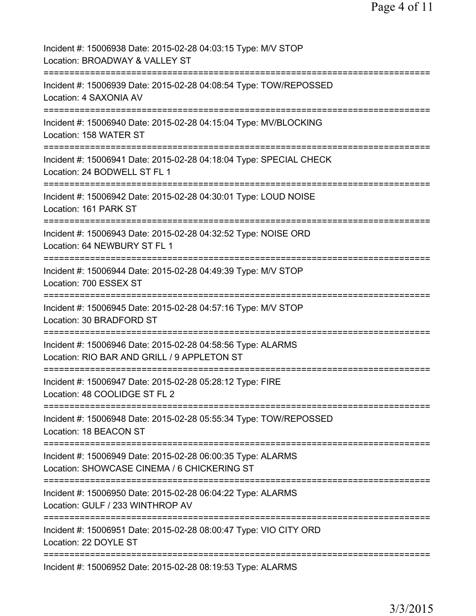| Incident #: 15006938 Date: 2015-02-28 04:03:15 Type: M/V STOP<br>Location: BROADWAY & VALLEY ST                                           |
|-------------------------------------------------------------------------------------------------------------------------------------------|
| Incident #: 15006939 Date: 2015-02-28 04:08:54 Type: TOW/REPOSSED<br>Location: 4 SAXONIA AV                                               |
| Incident #: 15006940 Date: 2015-02-28 04:15:04 Type: MV/BLOCKING<br>Location: 158 WATER ST                                                |
| Incident #: 15006941 Date: 2015-02-28 04:18:04 Type: SPECIAL CHECK<br>Location: 24 BODWELL ST FL 1                                        |
| Incident #: 15006942 Date: 2015-02-28 04:30:01 Type: LOUD NOISE<br>Location: 161 PARK ST                                                  |
| Incident #: 15006943 Date: 2015-02-28 04:32:52 Type: NOISE ORD<br>Location: 64 NEWBURY ST FL 1                                            |
| Incident #: 15006944 Date: 2015-02-28 04:49:39 Type: M/V STOP<br>Location: 700 ESSEX ST                                                   |
| Incident #: 15006945 Date: 2015-02-28 04:57:16 Type: M/V STOP<br>Location: 30 BRADFORD ST                                                 |
| Incident #: 15006946 Date: 2015-02-28 04:58:56 Type: ALARMS<br>Location: RIO BAR AND GRILL / 9 APPLETON ST                                |
| Incident #: 15006947 Date: 2015-02-28 05:28:12 Type: FIRE<br>Location: 48 COOLIDGE ST FL 2                                                |
| Incident #: 15006948 Date: 2015-02-28 05:55:34 Type: TOW/REPOSSED<br>Location: 18 BEACON ST                                               |
| ---------------------------<br>Incident #: 15006949 Date: 2015-02-28 06:00:35 Type: ALARMS<br>Location: SHOWCASE CINEMA / 6 CHICKERING ST |
| Incident #: 15006950 Date: 2015-02-28 06:04:22 Type: ALARMS<br>Location: GULF / 233 WINTHROP AV                                           |
| Incident #: 15006951 Date: 2015-02-28 08:00:47 Type: VIO CITY ORD<br>Location: 22 DOYLE ST                                                |
| Incident #: 15006952 Date: 2015-02-28 08:19:53 Type: ALARMS                                                                               |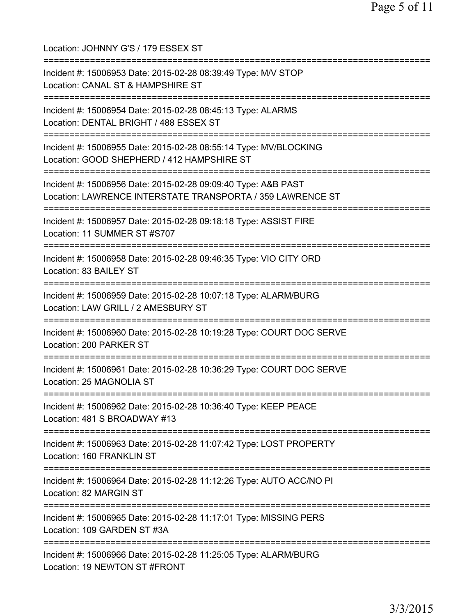| Location: JOHNNY G'S / 179 ESSEX ST                                                                                                                 |
|-----------------------------------------------------------------------------------------------------------------------------------------------------|
| Incident #: 15006953 Date: 2015-02-28 08:39:49 Type: M/V STOP<br>Location: CANAL ST & HAMPSHIRE ST<br>====================================          |
| Incident #: 15006954 Date: 2015-02-28 08:45:13 Type: ALARMS<br>Location: DENTAL BRIGHT / 488 ESSEX ST                                               |
| Incident #: 15006955 Date: 2015-02-28 08:55:14 Type: MV/BLOCKING<br>Location: GOOD SHEPHERD / 412 HAMPSHIRE ST<br>================================= |
| Incident #: 15006956 Date: 2015-02-28 09:09:40 Type: A&B PAST<br>Location: LAWRENCE INTERSTATE TRANSPORTA / 359 LAWRENCE ST                         |
| Incident #: 15006957 Date: 2015-02-28 09:18:18 Type: ASSIST FIRE<br>Location: 11 SUMMER ST #S707                                                    |
| Incident #: 15006958 Date: 2015-02-28 09:46:35 Type: VIO CITY ORD<br>Location: 83 BAILEY ST                                                         |
| Incident #: 15006959 Date: 2015-02-28 10:07:18 Type: ALARM/BURG<br>Location: LAW GRILL / 2 AMESBURY ST                                              |
| :======================<br>Incident #: 15006960 Date: 2015-02-28 10:19:28 Type: COURT DOC SERVE<br>Location: 200 PARKER ST                          |
| Incident #: 15006961 Date: 2015-02-28 10:36:29 Type: COURT DOC SERVE<br>Location: 25 MAGNOLIA ST                                                    |
| Incident #: 15006962 Date: 2015-02-28 10:36:40 Type: KEEP PEACE<br>Location: 481 S BROADWAY #13                                                     |
| Incident #: 15006963 Date: 2015-02-28 11:07:42 Type: LOST PROPERTY<br>Location: 160 FRANKLIN ST                                                     |
| Incident #: 15006964 Date: 2015-02-28 11:12:26 Type: AUTO ACC/NO PI<br>Location: 82 MARGIN ST                                                       |
| Incident #: 15006965 Date: 2015-02-28 11:17:01 Type: MISSING PERS<br>Location: 109 GARDEN ST #3A                                                    |
| Incident #: 15006966 Date: 2015-02-28 11:25:05 Type: ALARM/BURG<br>Location: 19 NEWTON ST #FRONT                                                    |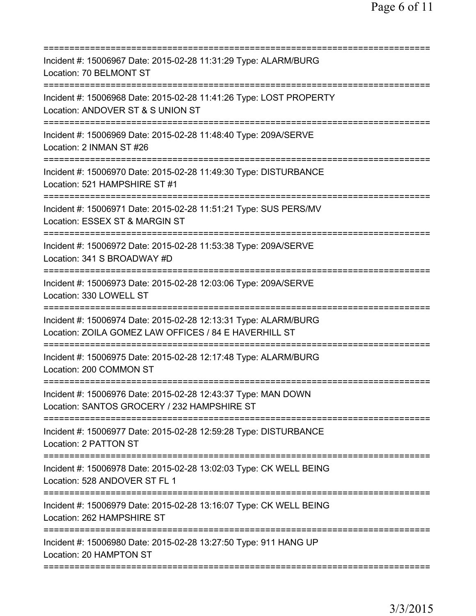| Incident #: 15006967 Date: 2015-02-28 11:31:29 Type: ALARM/BURG<br>Location: 70 BELMONT ST                                         |
|------------------------------------------------------------------------------------------------------------------------------------|
| Incident #: 15006968 Date: 2015-02-28 11:41:26 Type: LOST PROPERTY<br>Location: ANDOVER ST & S UNION ST<br>.====================== |
| Incident #: 15006969 Date: 2015-02-28 11:48:40 Type: 209A/SERVE<br>Location: 2 INMAN ST #26                                        |
| Incident #: 15006970 Date: 2015-02-28 11:49:30 Type: DISTURBANCE<br>Location: 521 HAMPSHIRE ST #1                                  |
| Incident #: 15006971 Date: 2015-02-28 11:51:21 Type: SUS PERS/MV<br>Location: ESSEX ST & MARGIN ST                                 |
| Incident #: 15006972 Date: 2015-02-28 11:53:38 Type: 209A/SERVE<br>Location: 341 S BROADWAY #D                                     |
| Incident #: 15006973 Date: 2015-02-28 12:03:06 Type: 209A/SERVE<br>Location: 330 LOWELL ST                                         |
| Incident #: 15006974 Date: 2015-02-28 12:13:31 Type: ALARM/BURG<br>Location: ZOILA GOMEZ LAW OFFICES / 84 E HAVERHILL ST           |
| Incident #: 15006975 Date: 2015-02-28 12:17:48 Type: ALARM/BURG<br>Location: 200 COMMON ST                                         |
| Incident #: 15006976 Date: 2015-02-28 12:43:37 Type: MAN DOWN<br>Location: SANTOS GROCERY / 232 HAMPSHIRE ST                       |
| Incident #: 15006977 Date: 2015-02-28 12:59:28 Type: DISTURBANCE<br>Location: 2 PATTON ST                                          |
| Incident #: 15006978 Date: 2015-02-28 13:02:03 Type: CK WELL BEING<br>Location: 528 ANDOVER ST FL 1                                |
| Incident #: 15006979 Date: 2015-02-28 13:16:07 Type: CK WELL BEING<br>Location: 262 HAMPSHIRE ST                                   |
| Incident #: 15006980 Date: 2015-02-28 13:27:50 Type: 911 HANG UP<br>Location: 20 HAMPTON ST                                        |
|                                                                                                                                    |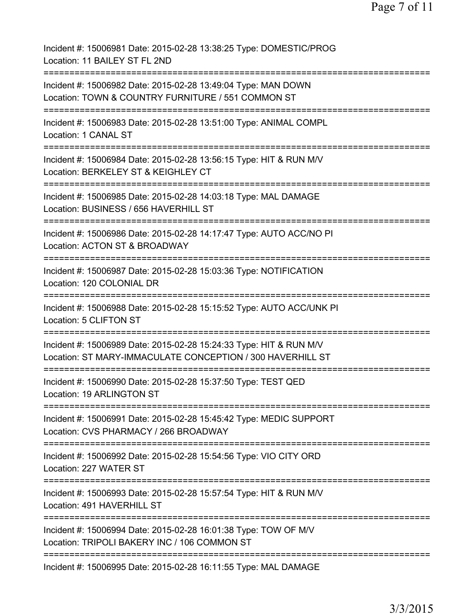Page 7 of 11

Incident #: 15006981 Date: 2015-02-28 13:38:25 Type: DOMESTIC/PROG Location: 11 BAILEY ST FL 2ND =========================================================================== Incident #: 15006982 Date: 2015-02-28 13:49:04 Type: MAN DOWN Location: TOWN & COUNTRY FURNITURE / 551 COMMON ST =========================================================================== Incident #: 15006983 Date: 2015-02-28 13:51:00 Type: ANIMAL COMPL Location: 1 CANAL ST =========================================================================== Incident #: 15006984 Date: 2015-02-28 13:56:15 Type: HIT & RUN M/V Location: BERKELEY ST & KEIGHLEY CT =========================================================================== Incident #: 15006985 Date: 2015-02-28 14:03:18 Type: MAL DAMAGE Location: BUSINESS / 656 HAVERHILL ST =========================================================================== Incident #: 15006986 Date: 2015-02-28 14:17:47 Type: AUTO ACC/NO PI Location: ACTON ST & BROADWAY =========================================================================== Incident #: 15006987 Date: 2015-02-28 15:03:36 Type: NOTIFICATION Location: 120 COLONIAL DR =========================================================================== Incident #: 15006988 Date: 2015-02-28 15:15:52 Type: AUTO ACC/UNK PI Location: 5 CLIFTON ST =========================================================================== Incident #: 15006989 Date: 2015-02-28 15:24:33 Type: HIT & RUN M/V Location: ST MARY-IMMACULATE CONCEPTION / 300 HAVERHILL ST =========================================================================== Incident #: 15006990 Date: 2015-02-28 15:37:50 Type: TEST QED Location: 19 ARLINGTON ST =========================================================================== Incident #: 15006991 Date: 2015-02-28 15:45:42 Type: MEDIC SUPPORT Location: CVS PHARMACY / 266 BROADWAY =========================================================================== Incident #: 15006992 Date: 2015-02-28 15:54:56 Type: VIO CITY ORD Location: 227 WATER ST =========================================================================== Incident #: 15006993 Date: 2015-02-28 15:57:54 Type: HIT & RUN M/V Location: 491 HAVERHILL ST =========================================================================== Incident #: 15006994 Date: 2015-02-28 16:01:38 Type: TOW OF M/V Location: TRIPOLI BAKERY INC / 106 COMMON ST =========================================================================== Incident #: 15006995 Date: 2015-02-28 16:11:55 Type: MAL DAMAGE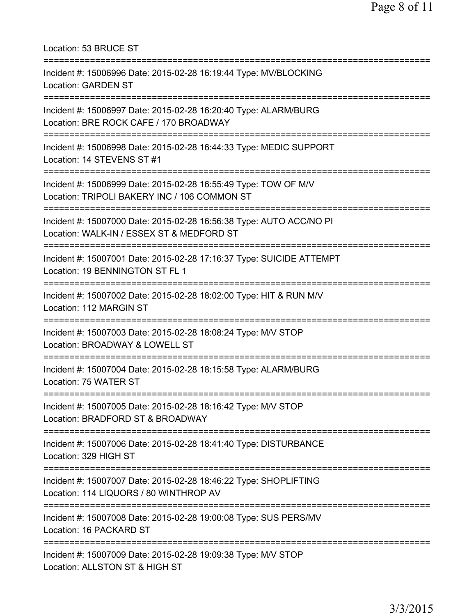| Location: 53 BRUCE ST                                                                                            |
|------------------------------------------------------------------------------------------------------------------|
| Incident #: 15006996 Date: 2015-02-28 16:19:44 Type: MV/BLOCKING<br><b>Location: GARDEN ST</b>                   |
| Incident #: 15006997 Date: 2015-02-28 16:20:40 Type: ALARM/BURG<br>Location: BRE ROCK CAFE / 170 BROADWAY        |
| Incident #: 15006998 Date: 2015-02-28 16:44:33 Type: MEDIC SUPPORT<br>Location: 14 STEVENS ST #1                 |
| Incident #: 15006999 Date: 2015-02-28 16:55:49 Type: TOW OF M/V<br>Location: TRIPOLI BAKERY INC / 106 COMMON ST  |
| Incident #: 15007000 Date: 2015-02-28 16:56:38 Type: AUTO ACC/NO PI<br>Location: WALK-IN / ESSEX ST & MEDFORD ST |
| Incident #: 15007001 Date: 2015-02-28 17:16:37 Type: SUICIDE ATTEMPT<br>Location: 19 BENNINGTON ST FL 1          |
| Incident #: 15007002 Date: 2015-02-28 18:02:00 Type: HIT & RUN M/V<br>Location: 112 MARGIN ST                    |
| Incident #: 15007003 Date: 2015-02-28 18:08:24 Type: M/V STOP<br>Location: BROADWAY & LOWELL ST                  |
| Incident #: 15007004 Date: 2015-02-28 18:15:58 Type: ALARM/BURG<br>Location: 75 WATER ST                         |
| Incident #: 15007005 Date: 2015-02-28 18:16:42 Type: M/V STOP<br>Location: BRADFORD ST & BROADWAY                |
| Incident #: 15007006 Date: 2015-02-28 18:41:40 Type: DISTURBANCE<br>Location: 329 HIGH ST                        |
| Incident #: 15007007 Date: 2015-02-28 18:46:22 Type: SHOPLIFTING<br>Location: 114 LIQUORS / 80 WINTHROP AV       |
| Incident #: 15007008 Date: 2015-02-28 19:00:08 Type: SUS PERS/MV<br>Location: 16 PACKARD ST                      |
| Incident #: 15007009 Date: 2015-02-28 19:09:38 Type: M/V STOP<br>Location: ALLSTON ST & HIGH ST                  |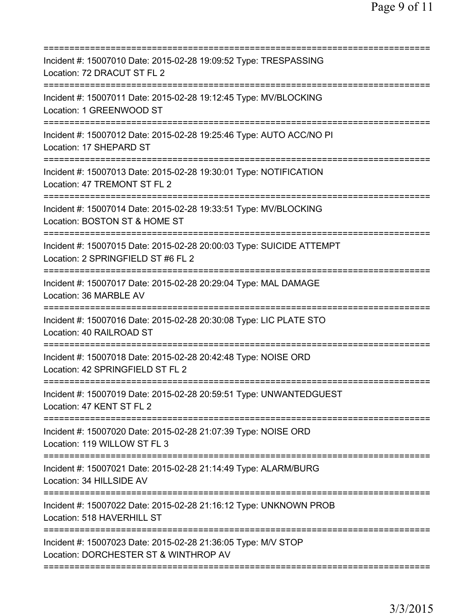| Incident #: 15007010 Date: 2015-02-28 19:09:52 Type: TRESPASSING<br>Location: 72 DRACUT ST FL 2<br>====================== |
|---------------------------------------------------------------------------------------------------------------------------|
| Incident #: 15007011 Date: 2015-02-28 19:12:45 Type: MV/BLOCKING<br>Location: 1 GREENWOOD ST                              |
| Incident #: 15007012 Date: 2015-02-28 19:25:46 Type: AUTO ACC/NO PI<br>Location: 17 SHEPARD ST                            |
| Incident #: 15007013 Date: 2015-02-28 19:30:01 Type: NOTIFICATION<br>Location: 47 TREMONT ST FL 2                         |
| Incident #: 15007014 Date: 2015-02-28 19:33:51 Type: MV/BLOCKING<br>Location: BOSTON ST & HOME ST                         |
| Incident #: 15007015 Date: 2015-02-28 20:00:03 Type: SUICIDE ATTEMPT<br>Location: 2 SPRINGFIELD ST #6 FL 2                |
| Incident #: 15007017 Date: 2015-02-28 20:29:04 Type: MAL DAMAGE<br>Location: 36 MARBLE AV                                 |
| Incident #: 15007016 Date: 2015-02-28 20:30:08 Type: LIC PLATE STO<br>Location: 40 RAILROAD ST<br>==============          |
| Incident #: 15007018 Date: 2015-02-28 20:42:48 Type: NOISE ORD<br>Location: 42 SPRINGFIELD ST FL 2<br>---------           |
| Incident #: 15007019 Date: 2015-02-28 20:59:51 Type: UNWANTEDGUEST<br>Location: 47 KENT ST FL 2                           |
| Incident #: 15007020 Date: 2015-02-28 21:07:39 Type: NOISE ORD<br>Location: 119 WILLOW ST FL 3                            |
| Incident #: 15007021 Date: 2015-02-28 21:14:49 Type: ALARM/BURG<br>Location: 34 HILLSIDE AV                               |
| Incident #: 15007022 Date: 2015-02-28 21:16:12 Type: UNKNOWN PROB<br>Location: 518 HAVERHILL ST                           |
| Incident #: 15007023 Date: 2015-02-28 21:36:05 Type: M/V STOP<br>Location: DORCHESTER ST & WINTHROP AV                    |
|                                                                                                                           |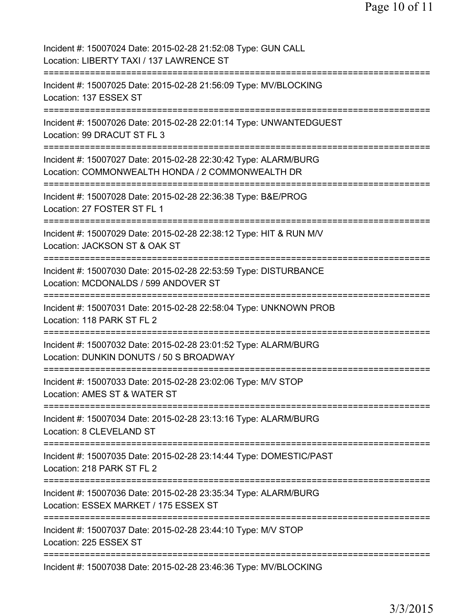| Incident #: 15007024 Date: 2015-02-28 21:52:08 Type: GUN CALL<br>Location: LIBERTY TAXI / 137 LAWRENCE ST                                                    |
|--------------------------------------------------------------------------------------------------------------------------------------------------------------|
| Incident #: 15007025 Date: 2015-02-28 21:56:09 Type: MV/BLOCKING<br>Location: 137 ESSEX ST                                                                   |
| Incident #: 15007026 Date: 2015-02-28 22:01:14 Type: UNWANTEDGUEST<br>Location: 99 DRACUT ST FL 3                                                            |
| Incident #: 15007027 Date: 2015-02-28 22:30:42 Type: ALARM/BURG<br>Location: COMMONWEALTH HONDA / 2 COMMONWEALTH DR<br>------------------------------------- |
| Incident #: 15007028 Date: 2015-02-28 22:36:38 Type: B&E/PROG<br>Location: 27 FOSTER ST FL 1<br>=========================                                    |
| Incident #: 15007029 Date: 2015-02-28 22:38:12 Type: HIT & RUN M/V<br>Location: JACKSON ST & OAK ST<br>============                                          |
| Incident #: 15007030 Date: 2015-02-28 22:53:59 Type: DISTURBANCE<br>Location: MCDONALDS / 599 ANDOVER ST                                                     |
| Incident #: 15007031 Date: 2015-02-28 22:58:04 Type: UNKNOWN PROB<br>Location: 118 PARK ST FL 2<br>===================================                       |
| Incident #: 15007032 Date: 2015-02-28 23:01:52 Type: ALARM/BURG<br>Location: DUNKIN DONUTS / 50 S BROADWAY                                                   |
| Incident #: 15007033 Date: 2015-02-28 23:02:06 Type: M/V STOP<br>Location: AMES ST & WATER ST                                                                |
| Incident #: 15007034 Date: 2015-02-28 23:13:16 Type: ALARM/BURG<br>Location: 8 CLEVELAND ST                                                                  |
| Incident #: 15007035 Date: 2015-02-28 23:14:44 Type: DOMESTIC/PAST<br>Location: 218 PARK ST FL 2<br>---------------                                          |
| Incident #: 15007036 Date: 2015-02-28 23:35:34 Type: ALARM/BURG<br>Location: ESSEX MARKET / 175 ESSEX ST                                                     |
| Incident #: 15007037 Date: 2015-02-28 23:44:10 Type: M/V STOP<br>Location: 225 ESSEX ST                                                                      |
| ===================<br>Incident #: 15007038 Date: 2015-02-28 23:46:36 Type: MV/BLOCKING                                                                      |